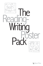

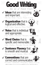### **Organization** that is logical and effective.  $\checkmark$





#### **Sentence Fluency** that is smooth and musical.  $\checkmark$

### **Word Choice** that is 9 specific and memorable. (x,

Verbs VModifiers VMemorable VAccurate VAppropriate



### **Conventions** that are 9 correct and communicative.  $\sqrt{P}$ unctuation  $\sqrt{C}$ apitalization  $\sqrt{P}$ aragraphing  $\sqrt{S}$ pelling  $\sqrt{G}$ rammar

© Copyright 1996-2003 by Steve Peha. For more posters like this one and other great teaching materials, please contact: Teaching That Makes Sense, Inc. . E-mail stevepeha@ttms.org . Web www.ttms.org

# **Good Writing** Has all of these traits…

## **V** Ideas that are interesting<br>and important.

### **Voice** that is individual 9 and appropriate.

9Main Idea 9Details 9"Showing" 9Purpose 9Surprises

9Beginnings 9Length 9Expression 9Effects 9Structure

9Leads 9Endings 9Sequencing 9Pacing 9Transitions

9Topic 9Feelings 9Individuality 9Personality 9Appropriateness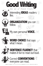



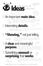

### An important **main idea.**



### A **clear** and meaningful



**purpose.**

### Interesting **details.**



Where does the author use "showing" details? How does the "showing" help to improve the audience's understanding?

What's the one most important thing the author wants the audience to know? Why is it important to the author? Why is it important to the audience?

Which details are the most interesting? How do they help the audience understand the main idea?

### **"Showing,"** not just telling.



#### Something **unusual** or **surprising** that **works.** the author want the audience to think and/ or do? What is surprising or unusual about the writing? How does this differ from other things you've read?

© Copyright 1996-2003 by Steve Peha. For more posters like this one and other great teaching materials, please contact: Teaching That Makes Sense, Inc. • E-mail stevepeha@ttms.org • Web www.ttms.org

Why did the writer write this? Why is this a good reason to write something? What does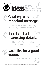

### My writing has an **important message.**

### I wrote this **for a good reason.**

### I included lots of **interesting details.**

The one most important thing I want my audience to know is…

The most interesting thing about my topic is…



I wrote this because…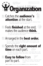### Feels **finished** at the end; makes the audience **think.**



**Organization** Logical & Effective

### Catches the **audience's attention** at the start.



How does the ending make the piece feel finished? What does it make the audience think about?



# Spends the **right amount of time** on each part.

### Arranged in the **best order.**

Why does the author spend more time in some parts than in others? Are there places where the author moves ahead too quickly or hangs on too long?



How does the beginning catch the audience's attention? Why would the audience want to read more?

#### **Easy to follow from** part to part. How does the author move from part to part? How do these transitions work?

© Copyright 1996-2003 by Steve Peha. For more posters like this one and other great teaching materials, please contact: Teaching That Makes Sense, Inc. • E-mail stevepeha@ttms.org • Web www.ttms.org

Can you easily identify the different parts of the piece? Does each part follow logically from the next? Is the sequencing effective and entertaining?

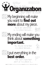### My beginning will make you want to **find out more** about my piece.





## My ending will make you think about **something important.**

You'll be interested in my piece because…



### I put everything in the **best order.** The most important part of my piece is…

© Copyright 1996-2003 by Steve Peha. For more posters like this one and other great teaching materials, please contact: Teaching That Makes Sense, Inc. • E-mail stevepeha@ttms.org • Web www.ttms.org

You should remember my piece because…

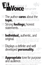How can you tell that the author cares about the<br>topic? Where can you find evidence of strong opin<br>lons? topic? Where can you find evidence of strong opinions?



### The author **cares** about the

### **Individual, authentic, and original.** Poes this writing feel as though it could original. Does this writing feel as though it could only have been written by one person? Does the writing sound like it was written by a real

How would you describe the author's personality in this writing? What examples from the text tell you you're right?

### Strong **feelings;** honest statements. Where are the author's strongest state-

 $L_{\text{max}}$ 

### **Appropriate** tone for purpose<br>and audience. For this situation? How can you tell? for this situation? How can you tell? Which parts, if any, seem inappropriate?

© Copyright 1996-2003 by Steve Peha. For more posters like this one and other great teaching materials, please contact: Teaching That Makes Sense, Inc. • E-mail stevepeha@ttms.org • Web www.ttms.org

person? How original is it?

Displays a definite and well



### developed **personality.**

ments? How can you tell that the author is saying what he or she really thinks?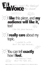

### <sup>I</sup> **like** this piece, and **my audience will like it,** too! I like this piece because…

# <sup>I</sup>**really care** about my topic.

### You can tell **exactly** how I **feel.** The feelings I have about this topic are…

© Copyright 1996-2003 by Steve Peha. For more posters like this one and other great teaching materials, please contact: Teaching That Makes Sense, Inc. • E-mail stevepeha@ttms.org • Web www.ttms.org

I wanted to write about this topic because…

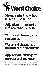

### **Words** and **phases** used **accurately** and **effectively**.

Where has the author used adjectives and adverbs to make the writing more specific? How does this improve the reader's understanding?

Is the writer's usage accurate? Where has the author used unusual words effectively? Where has the author used common words in new ways?

### **Adjectives** and **adverbs** that make things **specific.**

# **Words** and **phases** you can **remember**.

Which words and phrases do you remember? Why are they so memorable?

### **Strong verbs** that tell how actions are performed.

Where has the author used strong verbs? What makes them effective?



### **Appropriate** language for **purpose** and **audience.** Is the language appropriate? Are there any words or phrases that are too casual, too formal, too hard to understand, or possibly offensive?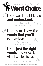

### I used **just the right**<br>**words** to say exactly<br>what I wanted to say. I chose these words because…

© Copyright 1996-2003 by Steve Peha. For more posters like this one and other great teaching materials, please contact: Teaching That Makes Sense, Inc. • E-mail stevepeha@ttms.org • Web www.ttms.org

### I used words that **I know and understand.**

### I used some interesting **words that you'll remember.**

The best words in my piece are…



You'll remember these words because…

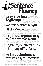# Easy to read **expressively;** sounds great read **aloud.**

### Rhythm, rhyme, alliteration, and other **"sound" effects.**

#### *F.* Variety in sentence length tive sentences in the same way? nd etmination boes the author vary the  $\blacksquare$   $\blacksquare$   $\blacksquare$   $\blacksquare$   $\blacksquare$   $\blacksquare$   $\blacksquare$   $\blacksquare$   $\blacksquare$   $\blacksquare$   $\blacksquare$  and structure of his or her sentences? Do you notice any patterns? Does the author use the same length or structure in two or three consecutive sentences? What sentence structures does the author use most often?

What are the most expressive parts? What is it about how they sound that makes them so much fun to read out loud?

### Smooth and Expressive **Fluency**<br>Variety in sentence What are some of **beginnings. INCA** What are some of the  $\blacksquare$  different ways the author begins sentences? Do you notice any patterns? Does the author ever begin two or three consecu-Musical

#### Sentences **structured** so they are **easy** to understand. How does the author use connecting words and punctuation marks to make sentences easy to understand? How does the order of sentence parts make the writing easy to understand?

© Copyright 1996-2003 by Steve Peha. For more posters like this one and other great teaching materials, please contact: Teaching That Makes Sense, Inc. . E-mail stevepeha@ttms.org . Web www.ttms.org

Where has the author used rhythm, rhyme, alliteration or other effects? How does this improve the piece?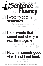### Fun to read out loud! **Fluency** I wrote my piece in **sentences.**

## My writing **sounds good** when I read it **out loud.** My piece is<br>Fun to read because...

© Copyright 1996-2003 by Steve Peha. For more posters like this one and other great teaching materials, please contact: Teaching That Makes Sense, Inc. • E-mail stevepeha@ttms.org • Web www.ttms.org

# I used **words that** sound cool when you read them together.

The best sounding sentence in my piece is…

The coolest sounding words in my piece are…

 $\frac{1}{2}$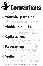# **"Outside"** punctuation.



### **Capitalization.**











**Spelling.** If the writing has spelling mistakes, do these errors make the piece difficult to read and understand? How does the author's spelling affect the way the audience feels about the writing and the person who wrote it?

© Copyright 1996-2003 by Steve Peha. For more posters like this one and other great teaching materials, please contact: Teaching That Makes Sense, Inc. • E-mail stevepeha@ttms.org • Web www.ttms.org

Has the author used periods, question marks, and exclamation marks in ways that make sense to the audience? Is it easy to tell where ideas end and begin?



### $\mathbb{R}$ <sup>3</sup> "Inside" punctuation.



Does the author's use of commas, colons, dashes, parentheses, and semicolons make sense to the audience? How does the author's use of these marks help make sentences with many parts easier to understand?

Has the author used capital letters in ways that make sense to the audience? Is it easy to tell where new ideas begin? Has the author capitalized the word "I", as well as names, places, and things that are one of a kind?

Has the author grouped related sentences into paragraphs in ways that make sense to the audience? Has the author started a new paragraph each time a new person starts speaking? Has the author indented or skipped a line to show where new paragraphs start?

Congress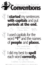

# <sup>I</sup>**started** my sentences **with capitals** and put **periods at the end.**



The conventions I know are…







© Copyright 1996-2003 by Steve Peha. For more posters like this one and other great teaching materials, please contact: Teaching That Makes Sense, Inc. • E-mail stevepeha@ttms.org • Web www.ttms.org

I used capitals for the word **"I"** and the names of **people** and **places.**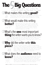### For talking about your writing, the writing of others, and the books you read. **The Big Questions** 5

### What would make this writing ➁ **better?**

### What's the **one** most important ➂ **thing** the writer wants you to know?

### What makes this writing **good?** ➀

**piece?**

**know?**

Which parts are not as good as they could be? Why don't you like them? What changes could the author make that would help you understand and enjoy the writing more? How would those changes make the writing better? Use the language of your classroom criteria to explain how you feel.

Which parts do you like? Why do you like those parts? Are parts of this writing better than other writing you've read? How do you know? Use the language of your classroom criteria to explain how you feel.

Is there one clear message the writer wants you to remember? What is it? How do you know? What details tell you you're right? This "one most important thing" is the writer's main idea. Sometimes, it often feels like a moral or a lesson the writer wants you to learn.

### **Why** did the writer write **this** ➃

### What does the **audience** need to ➄

What was the author's purpose in writing this piece? Writers write for a reason. Writing to entertain or to inform is great; all good writing must be entertaining and informative. But there has to be a deeper purpose. What does the writer want you to think and/or do after you've finished the piece? Why would it be valuable or meaningful for someone to read this?

Who is this writer writing for? What information does the audience need to enjoy and understand this piece? What questions do they have? What would they like to know more about? What part of the piece will interest them most? How does the author's voice, and the details the author decides to include, show that he or she is thinking about the audience?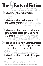

#### Fiction is all about how your character ➂ **gets or does not get** what he or she **wants. IFC** Is your character successful? Or does your character's

### **The Facts of Fiction** A fun way to write great fiction,<br>and a great way to have fun reading it!

### Fiction is all about **character.** ➀



### Fiction is all about a **world that you** ➄ **create.**

What does your character want more than anything else? Why does your character want it? Some characters want a lot, some want a little. It doesn't really matter as long as it's VERY IMPORTANT to your character. The more important it is, the more your character will do to get it, and<br>the more interesting your story will be.

How do you create a world? What kinds of people, places, and things does a world need? What successes, disasters, and conflicts does a world have? What are the good things in a world? What are the bad things? Remember: your story can be made up, but it must BE TRUE TO YOUR WORLD!

**LED** quest end in failure? Either way, you can have a great story. The trick is to describe HOW your character succeeds or fails. What obstacles does your character encounter? What solutions can your character craft to meet the challenges of your story?

### **changes** as a result of getting or not getting what he or she wants. 4 Fiction is all about **how your character**



 $9272$ 

Who is your main character? What does your character look  $\sum_{i=1}^{N}$  who is your main character? What does your character look<br> $\sum_{i=1}^{N}$  (ike? Can you describe your character's personality? How did your character get to be this way? The more you know about your character, the better your story will be.

## *Eiction is all about what your* **character wants. What does your character**

How does your character change as a result of what has happened? What was your character like at the beginning? What is your character like at the end? What has your character learned? What will the audience learn from reading the story?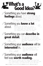### Something you have strong<br>**feelings** about. What are those feelings? What are those feelings? How will

### Something you **know a lot** about.

### Something you can **describe in great detail.**

What are the main things you want to cover? What's the most important part of your piece? What's the one thing you want your audience to know about your topic?

> What are some of the details of your topic? Why are these details important? How do these details help the reader understand your message?

D



you communicate those feelings to your reader? Is there a key moment or a particularly important detail you want to emphasize so your reader will understand EXACTLY how you feel?

#### Something your **audience** will be **interested** in. Who is your audience? Why will

#### Something your **audience** will feel was **worth reading.** What will your audience get from reading your piece? Will your audience learn something new? What will make your audience want to follow your piece all the way to the end?

© Copyright 1996-2003 by Steve Peha. For more posters like this one and other great teaching materials, please contact: Teaching That Makes Sense, Inc. • E-mail stevepeha@ttms.org • Web www.ttms.org

they be interested in your topic? What will interest them most?

The go

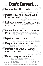Don't Correct...

**PE Inspect** the writing closely.

### **Perfect** communication between reader and writer. Nake sure you're both using the language  $\textcolor{red}{\mathsf{W}}\textcolor{blue}{\mathsf{H}}\textcolor{blue}{\mathsf{U}}\textcolor{blue}{\mathsf{C}}\textcolor{blue}{\mathsf{I}}$  . Make sure you're both using the language<br>of your classroom criteria. Review the writer's pur-

Detect those parts that work and those that don't. What do you the langual that do you the langual state that do you the langual state of the langual state the langual state of the langual state the langual state of the la What do you like? What do you think could be improved? Use the language of your classroom criteria to explain how

**Reflect** on why some parts work and others don't. Why do you like certain parts? How would im-Reflect on why some parts work and Why do you like certain parts? How would im-

### **Respect** the writer's reactions.

### **Expect** to repeat the process…

### Be a READER, not a TEACHER!

© Copyright 1996-2003 by Steve Peha. For more posters like this one and other great teaching materials, please contact: Teaching That Makes Sense, Inc. • E-mail stevepeha@ttms.org • Web www.ttms.org

Inject your own opinions.<sup>Be honest. Communicate</sup> US YOUI UWII UPII IIUI D. wing the language of<br>your classroom criteria so that everyone can understand you. RE-MEMBER: This is just YOUR OPINION; it's not the final word.

proving other parts make the writing better? Use the language of your classroom criteria to explain how you feel.



**Connect** your reactions to the writer's intent. What is the writer's purpose? Why did the writer choose to intent.

What is the writer's purpose? Why did the writer choose to write this particular piece? Who is the writer's audience? What's the ONE THING the writer wants you to know?

Listen closely to what the writer has to say about your comments. The writer does NOT have to make the changes you suggest.

pose, audience, and message.

…as long as the WRITER wants to continue. OR… …until the reader UNDERSTANDS the writer's message.

Read thoughtfully and thoroughly.

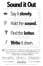you're not 100% sure it's right, and you don't know how to fix it, If you're not 100% sure it's right, and you don't know how to fix it<br>If draw a line under it and GO ON TO THE NEXT WORD. After your piece is finished, you can correct your spelling during the EDITING STAGE of the WRITING PROCESS.

1) Show someone the words you didn't know. We went to Diznelnd. 2) Ask them to correct it for you.  $Dirichlet$ 3) Write it correctly on your published copy. We went to Disneyland.

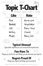



Typical life experiences and unusual life experiences.



### **Regret-Proud Of** Things you regret and things you're proud of.

© Copyright 1996-2003 by Steve Peha. For more posters like this one and other great teaching materials, please contact: Teaching That Makes Sense, Inc. • E-mail stevepeha@ttms.org • Web www.ttms.org

### Things you do for fun and things you do because you have to.

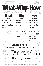### How do you know? These are your pieces of evidence, your examples, your proof.

© Copyright 1996-2003 by Steve Peha. For more posters like this one and other great teaching materials, please contact: Teaching That Makes Sense, Inc. • E-mail stevepeha@ttms.org • Web www.ttms.org

**What** do you think? This is your opinion. Make a it a complete sentence.

### **Why** do you think it? These are the reasons for your opinion. Have at least 4 of 5.

| $\frac{1}{2} \int_{1}^{1} \frac{1}{\sqrt{2}} \int_{1}^{1} \frac{1}{\sqrt{2}} \int_{1}^{1} \frac{1}{\sqrt{2}} \int_{1}^{1} \frac{1}{\sqrt{2}} \int_{1}^{1} \frac{1}{\sqrt{2}} \int_{1}^{1} \frac{1}{\sqrt{2}} \int_{1}^{1} \frac{1}{\sqrt{2}} \int_{1}^{1} \frac{1}{\sqrt{2}} \int_{1}^{1} \frac{1}{\sqrt{2}} \int_{1}^{1} \frac{1}{\sqrt{2}} \int_{1}^{1} \frac{1}{\sqrt{2}} \int_{1}^{1} \frac{1}{\sqrt$<br>What-Whv-How<br>M: Great support for your opinions! - j- |                  |                    |  |
|-----------------------------------------------------------------------------------------------------------------------------------------------------------------------------------------------------------------------------------------------------------------------------------------------------------------------------------------------------------------------------------------------------------------------------------------------------------------------|------------------|--------------------|--|
| What                                                                                                                                                                                                                                                                                                                                                                                                                                                                  | Why              | How                |  |
| (Opinion)                                                                                                                                                                                                                                                                                                                                                                                                                                                             | (Reasons)        | (Evidence)         |  |
| $My$ dog is the                                                                                                                                                                                                                                                                                                                                                                                                                                                       | He does my       | He's great in math |  |
| most amazing                                                                                                                                                                                                                                                                                                                                                                                                                                                          | algebra homework | but sometimes he   |  |
| pet in the whole                                                                                                                                                                                                                                                                                                                                                                                                                                                      | for me.          | needs help holding |  |
| world.                                                                                                                                                                                                                                                                                                                                                                                                                                                                |                  | the pencil.        |  |
|                                                                                                                                                                                                                                                                                                                                                                                                                                                                       | He's helping me  | He just signed a   |  |
|                                                                                                                                                                                                                                                                                                                                                                                                                                                                       | pay my way to    | deal with CNN      |  |
|                                                                                                                                                                                                                                                                                                                                                                                                                                                                       | college.         | For his own talk   |  |
|                                                                                                                                                                                                                                                                                                                                                                                                                                                                       |                  | show: "A Dog's     |  |
|                                                                                                                                                                                                                                                                                                                                                                                                                                                                       |                  | $Eye$ View."       |  |
|                                                                                                                                                                                                                                                                                                                                                                                                                                                                       |                  |                    |  |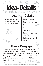"Sometimes, my dog and I go up to the park to play frisbee. As soon as I throw it, he runs as fast as he can to catch it. He jumps high in the air and catches it in his teeth. He can jump about five feet high. People can't believe how good he is because he almost never misses. But he'll only catch it if I throw it." 0480-0-0

© Copyright 1996-2003 by Steve Peha. For more posters like this one and other great teaching materials, please contact: Teaching That Makes Sense, Inc. • E-mail stevepeha@ttms.org • Web www.ttms.org

**Make a Paragraph**



At the park we play frisbee. He catches it in his mouth and brings it back.







He runs really fast. He jumps up in the air.

He never misses.



People can't believe how good he is.

He can jump about five feet high.

He'll only catch it if I throw it.

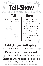

### **Think** about your **telling** details.

### **Show**

My dog runs as fast as he can and jumps in the air.



 $\div \heartsuit$ 







**Tell-Show** Add descriptive detail to your writing!

> As I take out the frisbee, he starts to wag his tail. As soon as I let it fly, he tears after it as fast as he can. Just when I think he's not going to get it, he leaps into the air, stretches out his neck, and snags it between his teeth like an animal capturing its prey.



#4

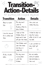### Put anything into a logical sequence. **Transition-Action-Details** #5

| <b>Transition</b>                            | <b>Action</b>                                                                   | <b>Details</b>                                                                                                                                                                                                                                                                                                                                                                                                                          |
|----------------------------------------------|---------------------------------------------------------------------------------|-----------------------------------------------------------------------------------------------------------------------------------------------------------------------------------------------------------------------------------------------------------------------------------------------------------------------------------------------------------------------------------------------------------------------------------------|
| About a month<br>290<br>相ら                   | My dog and I<br>went to<br>Andrews Park to<br>play Frisbee.                     | The wind was<br>really blowing.<br>$X = \frac{1}{\sqrt{2\pi}} \int_{1}^{1} \frac{1}{\sqrt{2\pi}} \int_{1}^{1} \frac{1}{\sqrt{2\pi}} \int_{1}^{1} \frac{1}{\sqrt{2\pi}} \int_{1}^{1} \frac{1}{\sqrt{2\pi}} \int_{1}^{1} \frac{1}{\sqrt{2\pi}} \int_{1}^{1} \frac{1}{\sqrt{2\pi}} \int_{1}^{1} \frac{1}{\sqrt{2\pi}} \int_{1}^{1} \frac{1}{\sqrt{2\pi}} \int_{1}^{1} \frac{1}{\sqrt{2\pi}} \int_{1}^{1} \frac{1}{\sqrt{2\pi}} \int_{1}^{$ |
| I ran him around<br>For a while, and<br>then | I took out the<br>Frisbee, threw it<br>hard, and it took<br>off over the trees. | I tried to stop my<br>dog From going<br>after it, but it was<br>too late.                                                                                                                                                                                                                                                                                                                                                               |
|                                              | The frisbee went<br>over the trees                                              | I was worried my<br>dog might get                                                                                                                                                                                                                                                                                                                                                                                                       |

and down a steep hill. hurt. He was really dirty. It looked like he'd been in the mud. My dog came running back with the frisbee. A few minutes later,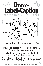### This is a **sketch,** not finished artwork. Work quickly. Include as many details as you can.



I'm playing frisbee with my dog at Andrews Park.

### **Label** everything you can think of. Use a single word or a short phrase. Identify everything.



### Each label is a **detail** you can write about. The more details you have, the better your piece will be.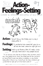



#### **Setti** We're up at Andrews Park. It's really windy and cold. There aren't many people around.

"It was cold and windy that day at Andrews Park, and there weren't very many people around. I threw the frisbee hard into the wind and it just took off like I'd never seen before. Immediately, my dog started chasing after it. And as I saw it sail off over the trees, I started to get worried that he might get hurt if he tried to catch it."

© Copyright 1996-2003 by Steve Peha. For more posters like this one and other great teaching materials, please contact: Teaching That Makes Sense, Inc. . E-mail stevepeha@ttms.org . Web www.ttms.org

**Feelings:** I'm excited but also scared. He's going to run off into the trees where he might get hurt.



I've just thrown the frisbee, and my dog is chasing after it.